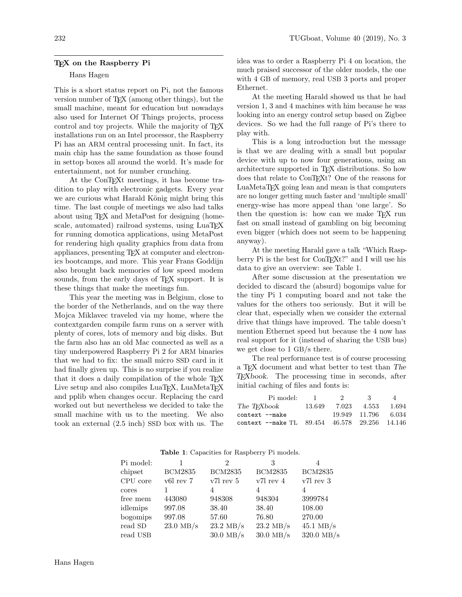## T<sub>F</sub>X on the Raspberry Pi

## Hans Hagen

This is a short status report on Pi, not the famous version number of TEX (among other things), but the small machine, meant for education but nowadays also used for Internet Of Things projects, process control and toy projects. While the majority of TFX installations run on an Intel processor, the Raspberry Pi has an ARM central processing unit. In fact, its main chip has the same foundation as those found in settop boxes all around the world. It's made for entertainment, not for number crunching.

At the ConT<sub>E</sub>X<sup>t</sup> meetings, it has become tradition to play with electronic gadgets. Every year we are curious what Harald König might bring this time. The last couple of meetings we also had talks about using TEX and MetaPost for designing (homescale, automated) railroad systems, using LuaTFX for running domotica applications, using MetaPost for rendering high quality graphics from data from appliances, presenting TEX at computer and electronics bootcamps, and more. This year Frans Goddijn also brought back memories of low speed modem sounds, from the early days of T<sub>F</sub>X support. It is these things that make the meetings fun.

This year the meeting was in Belgium, close to the border of the Netherlands, and on the way there Mojca Miklavec traveled via my home, where the contextgarden compile farm runs on a server with plenty of cores, lots of memory and big disks. But the farm also has an old Mac connected as well as a tiny underpowered Raspberry Pi 2 for ARM binaries that we had to fix: the small micro SSD card in it had finally given up. This is no surprise if you realize that it does a daily compilation of the whole TEX Live setup and also compiles LuaT<sub>EX</sub>, LuaMetaT<sub>EX</sub> and pplib when changes occur. Replacing the card worked out but nevertheless we decided to take the small machine with us to the meeting. We also took an external (2.5 inch) SSD box with us. The idea was to order a Raspberry Pi 4 on location, the much praised successor of the older models, the one with 4 GB of memory, real USB 3 ports and proper Ethernet.

At the meeting Harald showed us that he had version 1, 3 and 4 machines with him because he was looking into an energy control setup based on Zigbee devices. So we had the full range of Pi's there to play with.

This is a long introduction but the message is that we are dealing with a small but popular device with up to now four generations, using an architecture supported in TEX distributions. So how does that relate to ConTEXt? One of the reasons for LuaMetaTEX going lean and mean is that computers are no longer getting much faster and 'multiple small' energy-wise has more appeal than 'one large'. So then the question is: how can we make T<sub>EX</sub> run fast on small instead of gambling on big becoming even bigger (which does not seem to be happening anyway).

At the meeting Harald gave a talk "Which Raspberry Pi is the best for ConTEXt?" and I will use his data to give an overview: see Table [1.](#page-0-0)

After some discussion at the presentation we decided to discard the (absurd) bogomips value for the tiny Pi 1 computing board and not take the values for the others too seriously. But it will be clear that, especially when we consider the external drive that things have improved. The table doesn't mention Ethernet speed but because the 4 now has real support for it (instead of sharing the USB bus) we get close to 1 GB/s there.

The real performance test is of course processing a TEX document and what better to test than The TEXbook. The processing time in seconds, after initial caching of files and fonts is:

|        | $\cdot$ | ંર    | $\Delta$                                                             |
|--------|---------|-------|----------------------------------------------------------------------|
| 13.649 | 7.023   | 4.553 | 1.694                                                                |
|        |         |       | 6.034                                                                |
|        |         |       |                                                                      |
|        |         |       | 19.949 11.796<br>context --make TL $89.454$ $46.578$ $29.256$ 14.146 |

| Pi model: |                | $\overline{2}$      | 3                   | 4                    |
|-----------|----------------|---------------------|---------------------|----------------------|
| chipset   | <b>BCM2835</b> | <b>BCM2835</b>      | <b>BCM2835</b>      | <b>BCM2835</b>       |
| CPU core  | v6l rev 7      | v7l rev 5           | v7l rev 4           | v7l rev 3            |
| cores     |                |                     |                     |                      |
| free mem  | 443080         | 948308              | 948304              | 3999784              |
| idlemips  | 997.08         | 38.40               | 38.40               | 108.00               |
| bogomips  | 997.08         | 57.60               | 76.80               | 270.00               |
| read SD   | $23.0$ MB/s    | $23.2 \text{ MB/s}$ | $23.2 \text{ MB/s}$ | $45.1 \text{ MB/s}$  |
| read USB  |                | $30.0$ MB/s         | $30.0$ MB/s         | $320.0 \text{ MB/s}$ |

## <span id="page-0-0"></span>Table 1: Capacities for Raspberry Pi models.